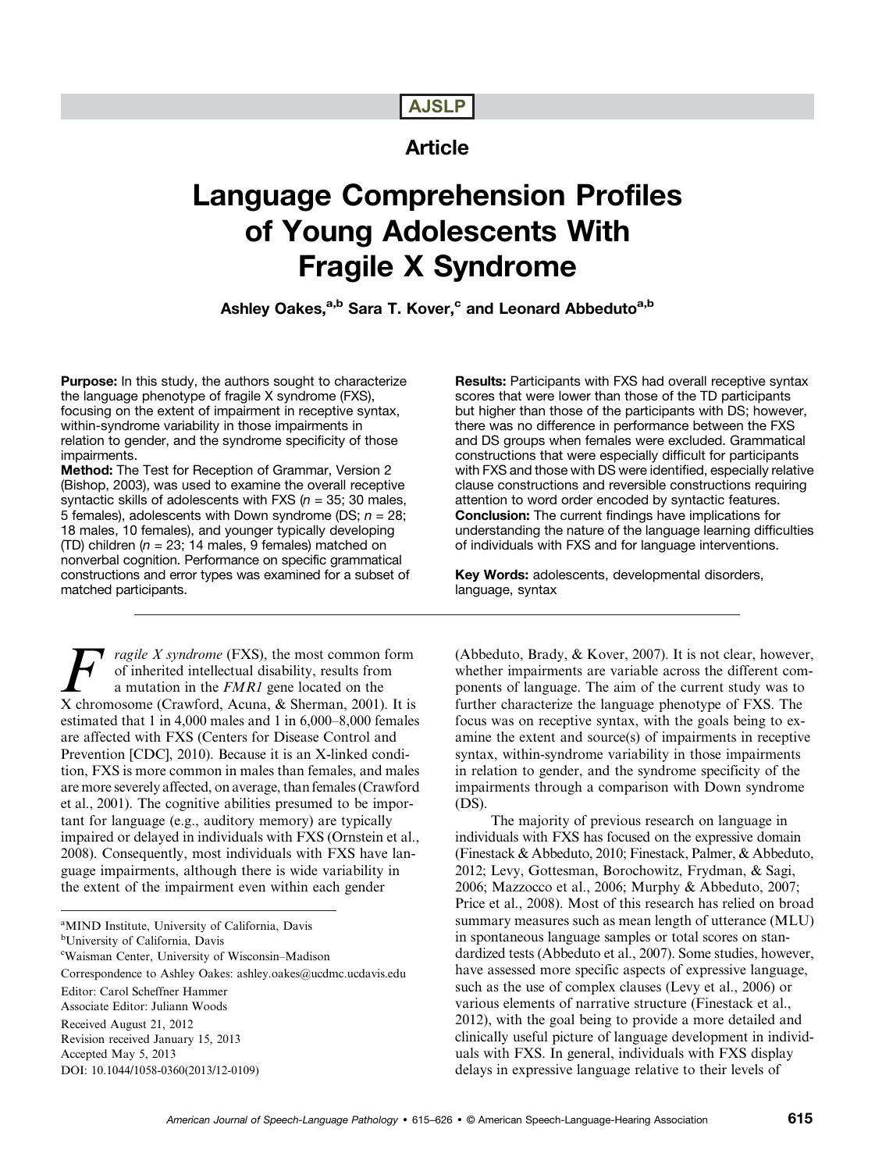# AJSLP

# Article

# Language Comprehension Profiles of Young Adolescents With Fragile X Syndrome

Ashley Oakes,<sup>a,b</sup> Sara T. Kover,<sup>c</sup> and Leonard Abbeduto<sup>a,b</sup>

Purpose: In this study, the authors sought to characterize the language phenotype of fragile X syndrome (FXS), focusing on the extent of impairment in receptive syntax, within-syndrome variability in those impairments in relation to gender, and the syndrome specificity of those impairments.

Method: The Test for Reception of Grammar, Version 2 (Bishop, 2003), was used to examine the overall receptive syntactic skills of adolescents with FXS ( $n = 35$ ; 30 males, 5 females), adolescents with Down syndrome (DS;  $n = 28$ ; 18 males, 10 females), and younger typically developing (TD) children ( $n = 23$ ; 14 males, 9 females) matched on nonverbal cognition. Performance on specific grammatical constructions and error types was examined for a subset of matched participants.

*ragile X syndrome* (FXS), the most common form of inherited intellectual disability, results from a mutation in the FMR1 gene located on the X chromosome (Crawford, Acuna, & Sherman, 2001). It is estimated that 1 in 4,000 males and 1 in 6,000–8,000 females are affected with FXS (Centers for Disease Control and Prevention [CDC], 2010). Because it is an X-linked condition, FXS is more common in males than females, and males are more severely affected, on average, than females (Crawford et al., 2001). The cognitive abilities presumed to be important for language (e.g., auditory memory) are typically impaired or delayed in individuals with FXS (Ornstein et al., 2008). Consequently, most individuals with FXS have language impairments, although there is wide variability in the extent of the impairment even within each gender

<sup>a</sup>MIND Institute, University of California, Davis

b University of California, Davis

c Waisman Center, University of Wisconsin–Madison

Correspondence to Ashley Oakes: ashley.oakes@ucdmc.ucdavis.edu Editor: Carol Scheffner Hammer Associate Editor: Juliann Woods Received August 21, 2012

Revision received January 15, 2013 Accepted May 5, 2013

DOI: 10.1044/1058-0360(2013/12-0109)

Results: Participants with FXS had overall receptive syntax scores that were lower than those of the TD participants but higher than those of the participants with DS; however, there was no difference in performance between the FXS and DS groups when females were excluded. Grammatical constructions that were especially difficult for participants with FXS and those with DS were identified, especially relative clause constructions and reversible constructions requiring attention to word order encoded by syntactic features. Conclusion: The current findings have implications for understanding the nature of the language learning difficulties of individuals with FXS and for language interventions.

Key Words: adolescents, developmental disorders, language, syntax

(Abbeduto, Brady, & Kover, 2007). It is not clear, however, whether impairments are variable across the different components of language. The aim of the current study was to further characterize the language phenotype of FXS. The focus was on receptive syntax, with the goals being to examine the extent and source(s) of impairments in receptive syntax, within-syndrome variability in those impairments in relation to gender, and the syndrome specificity of the impairments through a comparison with Down syndrome (DS).

The majority of previous research on language in individuals with FXS has focused on the expressive domain (Finestack & Abbeduto, 2010; Finestack, Palmer, & Abbeduto, 2012; Levy, Gottesman, Borochowitz, Frydman, & Sagi, 2006; Mazzocco et al., 2006; Murphy & Abbeduto, 2007; Price et al., 2008). Most of this research has relied on broad summary measures such as mean length of utterance (MLU) in spontaneous language samples or total scores on standardized tests (Abbeduto et al., 2007). Some studies, however, have assessed more specific aspects of expressive language, such as the use of complex clauses (Levy et al., 2006) or various elements of narrative structure (Finestack et al., 2012), with the goal being to provide a more detailed and clinically useful picture of language development in individuals with FXS. In general, individuals with FXS display delays in expressive language relative to their levels of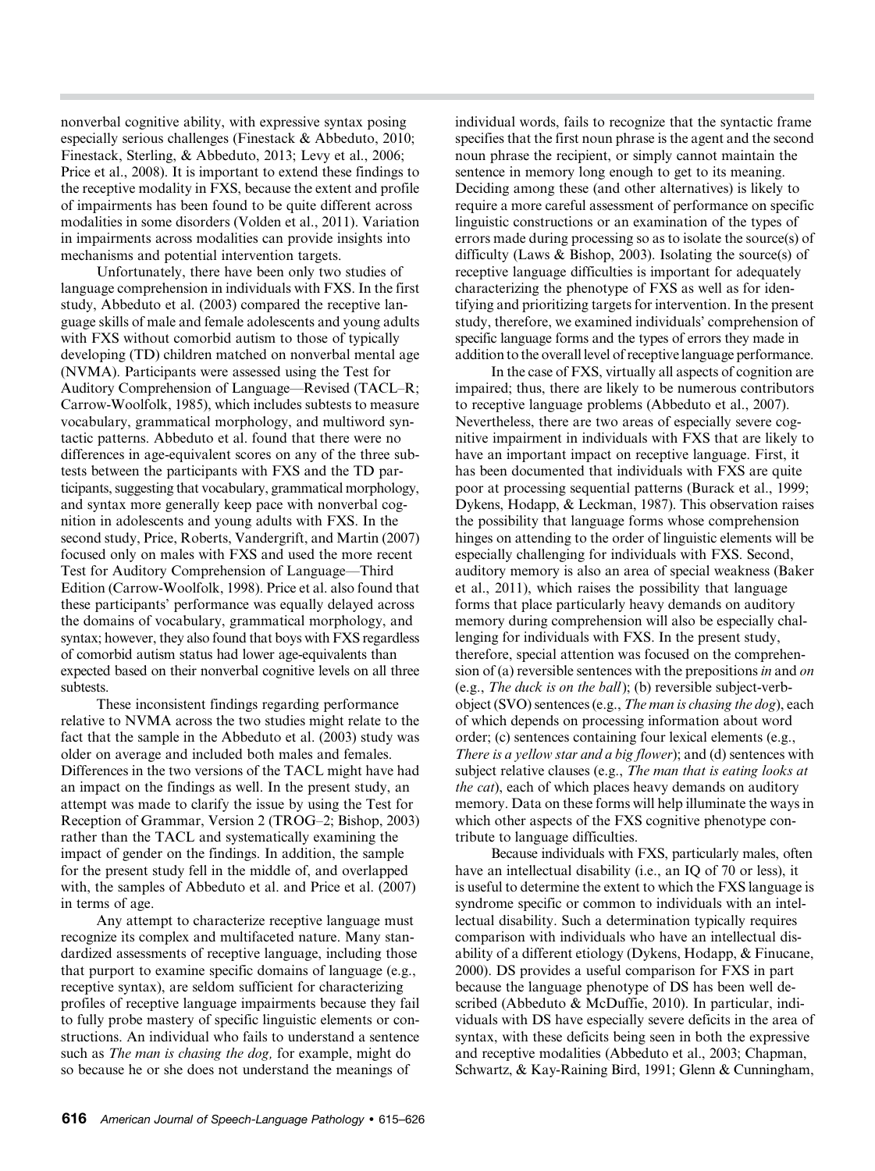nonverbal cognitive ability, with expressive syntax posing especially serious challenges (Finestack & Abbeduto, 2010; Finestack, Sterling, & Abbeduto, 2013; Levy et al., 2006; Price et al., 2008). It is important to extend these findings to the receptive modality in FXS, because the extent and profile of impairments has been found to be quite different across modalities in some disorders (Volden et al., 2011). Variation in impairments across modalities can provide insights into mechanisms and potential intervention targets.

Unfortunately, there have been only two studies of language comprehension in individuals with FXS. In the first study, Abbeduto et al. (2003) compared the receptive language skills of male and female adolescents and young adults with FXS without comorbid autism to those of typically developing (TD) children matched on nonverbal mental age (NVMA). Participants were assessed using the Test for Auditory Comprehension of Language—Revised (TACL–R; Carrow-Woolfolk, 1985), which includes subtests to measure vocabulary, grammatical morphology, and multiword syntactic patterns. Abbeduto et al. found that there were no differences in age-equivalent scores on any of the three subtests between the participants with FXS and the TD participants, suggesting that vocabulary, grammatical morphology, and syntax more generally keep pace with nonverbal cognition in adolescents and young adults with FXS. In the second study, Price, Roberts, Vandergrift, and Martin (2007) focused only on males with FXS and used the more recent Test for Auditory Comprehension of Language—Third Edition (Carrow-Woolfolk, 1998). Price et al. also found that these participants' performance was equally delayed across the domains of vocabulary, grammatical morphology, and syntax; however, they also found that boys with FXS regardless of comorbid autism status had lower age-equivalents than expected based on their nonverbal cognitive levels on all three subtests.

These inconsistent findings regarding performance relative to NVMA across the two studies might relate to the fact that the sample in the Abbeduto et al. (2003) study was older on average and included both males and females. Differences in the two versions of the TACL might have had an impact on the findings as well. In the present study, an attempt was made to clarify the issue by using the Test for Reception of Grammar, Version 2 (TROG–2; Bishop, 2003) rather than the TACL and systematically examining the impact of gender on the findings. In addition, the sample for the present study fell in the middle of, and overlapped with, the samples of Abbeduto et al. and Price et al. (2007) in terms of age.

Any attempt to characterize receptive language must recognize its complex and multifaceted nature. Many standardized assessments of receptive language, including those that purport to examine specific domains of language (e.g., receptive syntax), are seldom sufficient for characterizing profiles of receptive language impairments because they fail to fully probe mastery of specific linguistic elements or constructions. An individual who fails to understand a sentence such as *The man is chasing the dog*, for example, might do so because he or she does not understand the meanings of

individual words, fails to recognize that the syntactic frame specifies that the first noun phrase is the agent and the second noun phrase the recipient, or simply cannot maintain the sentence in memory long enough to get to its meaning. Deciding among these (and other alternatives) is likely to require a more careful assessment of performance on specific linguistic constructions or an examination of the types of errors made during processing so as to isolate the source(s) of difficulty (Laws & Bishop, 2003). Isolating the source(s) of receptive language difficulties is important for adequately characterizing the phenotype of FXS as well as for identifying and prioritizing targets for intervention. In the present study, therefore, we examined individuals' comprehension of specific language forms and the types of errors they made in addition to the overall level of receptive language performance.

In the case of FXS, virtually all aspects of cognition are impaired; thus, there are likely to be numerous contributors to receptive language problems (Abbeduto et al., 2007). Nevertheless, there are two areas of especially severe cognitive impairment in individuals with FXS that are likely to have an important impact on receptive language. First, it has been documented that individuals with FXS are quite poor at processing sequential patterns (Burack et al., 1999; Dykens, Hodapp, & Leckman, 1987). This observation raises the possibility that language forms whose comprehension hinges on attending to the order of linguistic elements will be especially challenging for individuals with FXS. Second, auditory memory is also an area of special weakness (Baker et al., 2011), which raises the possibility that language forms that place particularly heavy demands on auditory memory during comprehension will also be especially challenging for individuals with FXS. In the present study, therefore, special attention was focused on the comprehension of (a) reversible sentences with the prepositions in and on (e.g., The duck is on the ball); (b) reversible subject-verbobject (SVO) sentences (e.g., The man is chasing the dog), each of which depends on processing information about word order; (c) sentences containing four lexical elements (e.g., There is a yellow star and a big flower); and (d) sentences with subject relative clauses (e.g., The man that is eating looks at the cat), each of which places heavy demands on auditory memory. Data on these forms will help illuminate the ways in which other aspects of the FXS cognitive phenotype contribute to language difficulties.

Because individuals with FXS, particularly males, often have an intellectual disability (i.e., an IQ of 70 or less), it is useful to determine the extent to which the FXS language is syndrome specific or common to individuals with an intellectual disability. Such a determination typically requires comparison with individuals who have an intellectual disability of a different etiology (Dykens, Hodapp, & Finucane, 2000). DS provides a useful comparison for FXS in part because the language phenotype of DS has been well described (Abbeduto & McDuffie, 2010). In particular, individuals with DS have especially severe deficits in the area of syntax, with these deficits being seen in both the expressive and receptive modalities (Abbeduto et al., 2003; Chapman, Schwartz, & Kay-Raining Bird, 1991; Glenn & Cunningham,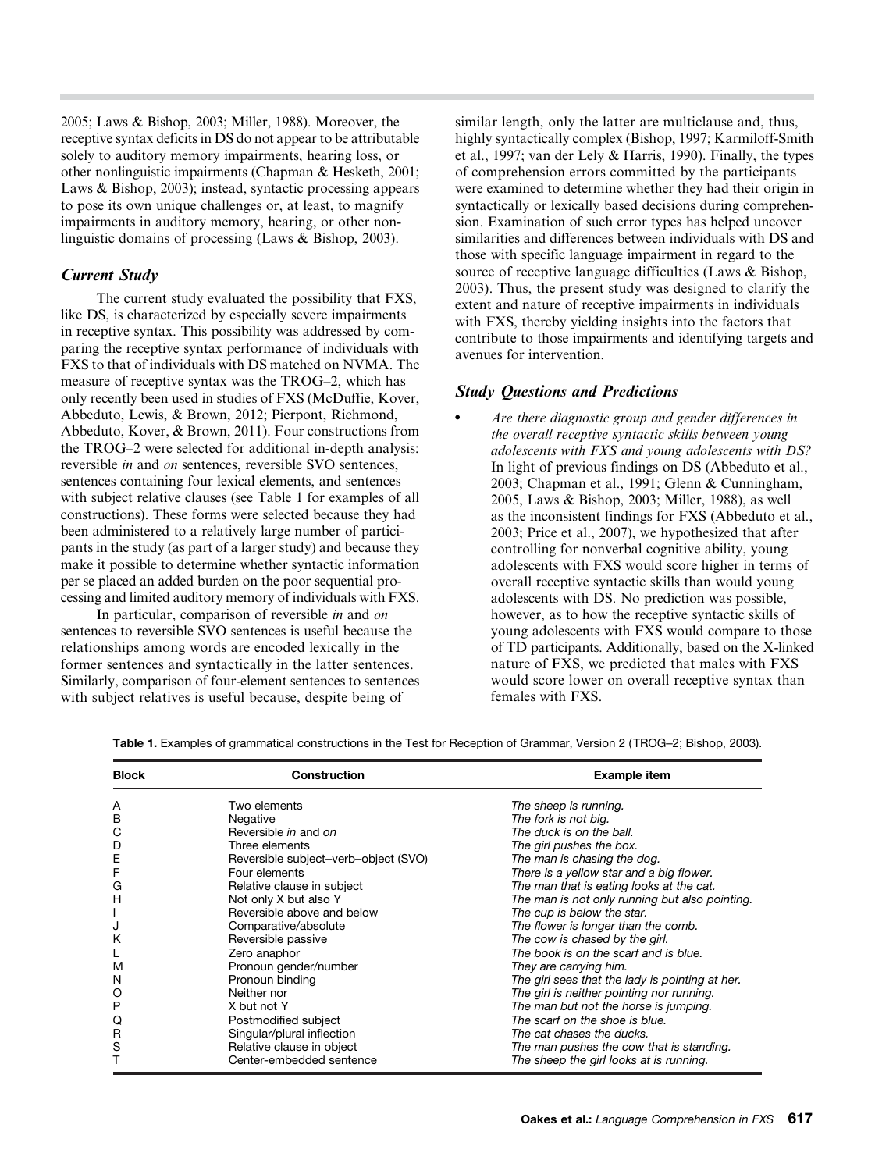2005; Laws & Bishop, 2003; Miller, 1988). Moreover, the receptive syntax deficits in DS do not appear to be attributable solely to auditory memory impairments, hearing loss, or other nonlinguistic impairments (Chapman & Hesketh, 2001; Laws & Bishop, 2003); instead, syntactic processing appears to pose its own unique challenges or, at least, to magnify impairments in auditory memory, hearing, or other nonlinguistic domains of processing (Laws & Bishop, 2003).

## Current Study

The current study evaluated the possibility that FXS, like DS, is characterized by especially severe impairments in receptive syntax. This possibility was addressed by comparing the receptive syntax performance of individuals with FXS to that of individuals with DS matched on NVMA. The measure of receptive syntax was the TROG–2, which has only recently been used in studies of FXS (McDuffie, Kover, Abbeduto, Lewis, & Brown, 2012; Pierpont, Richmond, Abbeduto, Kover, & Brown, 2011). Four constructions from the TROG–2 were selected for additional in-depth analysis: reversible in and on sentences, reversible SVO sentences, sentences containing four lexical elements, and sentences with subject relative clauses (see Table 1 for examples of all constructions). These forms were selected because they had been administered to a relatively large number of participants in the study (as part of a larger study) and because they make it possible to determine whether syntactic information per se placed an added burden on the poor sequential processing and limited auditory memory of individuals with FXS.

In particular, comparison of reversible in and on sentences to reversible SVO sentences is useful because the relationships among words are encoded lexically in the former sentences and syntactically in the latter sentences. Similarly, comparison of four-element sentences to sentences with subject relatives is useful because, despite being of

similar length, only the latter are multiclause and, thus, highly syntactically complex (Bishop, 1997; Karmiloff-Smith et al., 1997; van der Lely & Harris, 1990). Finally, the types of comprehension errors committed by the participants were examined to determine whether they had their origin in syntactically or lexically based decisions during comprehension. Examination of such error types has helped uncover similarities and differences between individuals with DS and those with specific language impairment in regard to the source of receptive language difficulties (Laws & Bishop, 2003). Thus, the present study was designed to clarify the extent and nature of receptive impairments in individuals with FXS, thereby yielding insights into the factors that contribute to those impairments and identifying targets and avenues for intervention.

#### Study Questions and Predictions

• Are there diagnostic group and gender differences in the overall receptive syntactic skills between young adolescents with FXS and young adolescents with DS? In light of previous findings on DS (Abbeduto et al., 2003; Chapman et al., 1991; Glenn & Cunningham, 2005, Laws & Bishop, 2003; Miller, 1988), as well as the inconsistent findings for FXS (Abbeduto et al., 2003; Price et al., 2007), we hypothesized that after controlling for nonverbal cognitive ability, young adolescents with FXS would score higher in terms of overall receptive syntactic skills than would young adolescents with DS. No prediction was possible, however, as to how the receptive syntactic skills of young adolescents with FXS would compare to those of TD participants. Additionally, based on the X-linked nature of FXS, we predicted that males with FXS would score lower on overall receptive syntax than females with FXS.

| <b>Block</b> | Construction                         | <b>Example item</b>                             |  |  |  |  |
|--------------|--------------------------------------|-------------------------------------------------|--|--|--|--|
| A            | Two elements                         | The sheep is running.                           |  |  |  |  |
| B            | Negative                             | The fork is not big.                            |  |  |  |  |
| С            | Reversible in and on                 | The duck is on the ball.                        |  |  |  |  |
| D            | Three elements                       | The girl pushes the box.                        |  |  |  |  |
| Ε            | Reversible subject-verb-object (SVO) | The man is chasing the dog.                     |  |  |  |  |
| F            | Four elements                        | There is a yellow star and a big flower.        |  |  |  |  |
| G            | Relative clause in subject           | The man that is eating looks at the cat.        |  |  |  |  |
| Н            | Not only X but also Y                | The man is not only running but also pointing.  |  |  |  |  |
|              | Reversible above and below           | The cup is below the star.                      |  |  |  |  |
| J            | Comparative/absolute                 | The flower is longer than the comb.             |  |  |  |  |
| Κ            | Reversible passive                   | The cow is chased by the girl.                  |  |  |  |  |
|              | Zero anaphor                         | The book is on the scarf and is blue.           |  |  |  |  |
| M            | Pronoun gender/number                | They are carrying him.                          |  |  |  |  |
| N            | Pronoun binding                      | The girl sees that the lady is pointing at her. |  |  |  |  |
| O            | Neither nor                          | The girl is neither pointing nor running.       |  |  |  |  |
| P            | X but not Y                          | The man but not the horse is jumping.           |  |  |  |  |
| Q            | Postmodified subject                 | The scarf on the shoe is blue.                  |  |  |  |  |
| $\mathsf{R}$ | Singular/plural inflection           | The cat chases the ducks.                       |  |  |  |  |
| S            | Relative clause in object            | The man pushes the cow that is standing.        |  |  |  |  |
|              | Center-embedded sentence             | The sheep the girl looks at is running.         |  |  |  |  |

Table 1. Examples of grammatical constructions in the Test for Reception of Grammar, Version 2 (TROG–2; Bishop, 2003).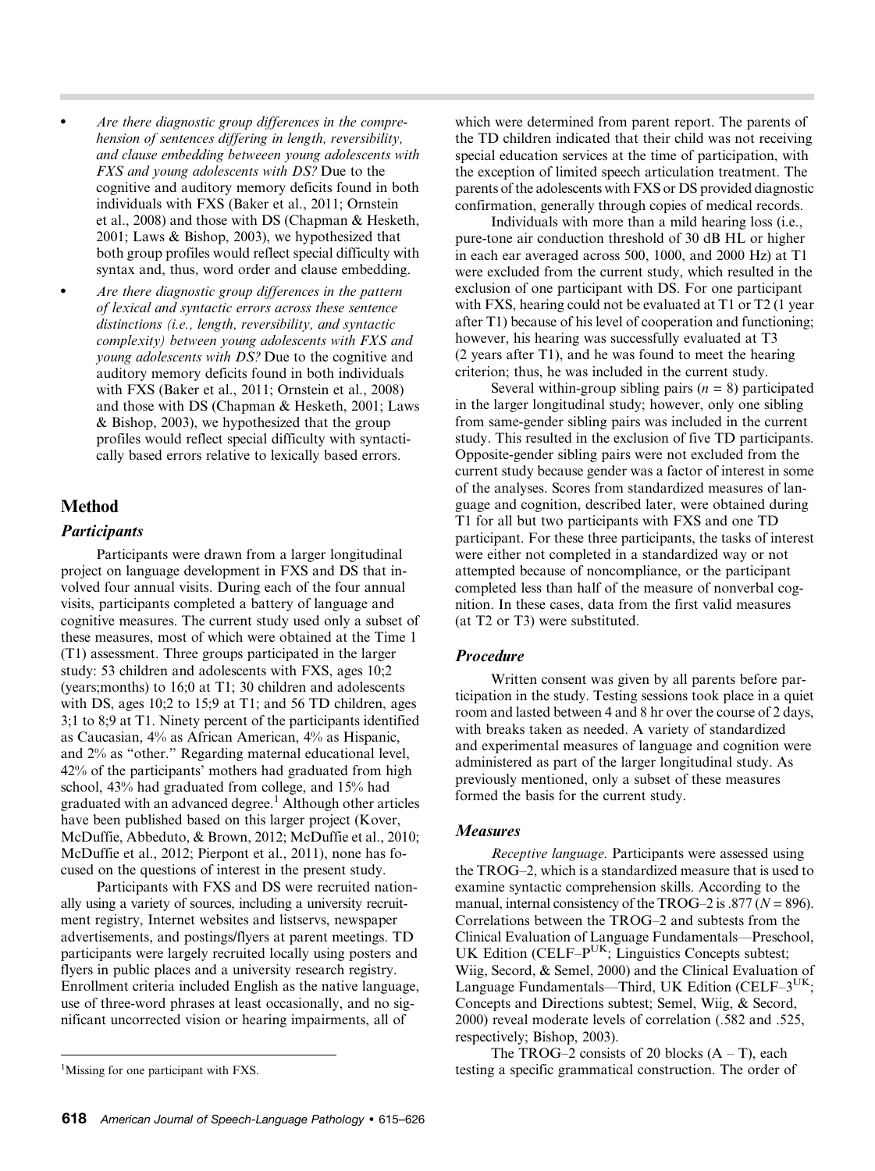- Are there diagnostic group differences in the comprehension of sentences differing in length, reversibility, and clause embedding betweeen young adolescents with FXS and young adolescents with DS? Due to the cognitive and auditory memory deficits found in both individuals with FXS (Baker et al., 2011; Ornstein et al., 2008) and those with DS (Chapman & Hesketh, 2001; Laws & Bishop, 2003), we hypothesized that both group profiles would reflect special difficulty with syntax and, thus, word order and clause embedding.
- Are there diagnostic group differences in the pattern of lexical and syntactic errors across these sentence distinctions (i.e., length, reversibility, and syntactic complexity) between young adolescents with FXS and young adolescents with DS? Due to the cognitive and auditory memory deficits found in both individuals with FXS (Baker et al., 2011; Ornstein et al., 2008) and those with DS (Chapman & Hesketh, 2001; Laws & Bishop, 2003), we hypothesized that the group profiles would reflect special difficulty with syntactically based errors relative to lexically based errors.

# Method

#### **Participants**

Participants were drawn from a larger longitudinal project on language development in FXS and DS that involved four annual visits. During each of the four annual visits, participants completed a battery of language and cognitive measures. The current study used only a subset of these measures, most of which were obtained at the Time 1 (T1) assessment. Three groups participated in the larger study: 53 children and adolescents with FXS, ages 10;2 (years;months) to 16;0 at T1; 30 children and adolescents with DS, ages 10;2 to 15;9 at T1; and 56 TD children, ages 3;1 to 8;9 at T1. Ninety percent of the participants identified as Caucasian, 4% as African American, 4% as Hispanic, and 2% as "other." Regarding maternal educational level, 42% of the participants' mothers had graduated from high school, 43% had graduated from college, and 15% had graduated with an advanced degree.<sup>1</sup> Although other articles have been published based on this larger project (Kover, McDuffie, Abbeduto, & Brown, 2012; McDuffie et al., 2010; McDuffie et al., 2012; Pierpont et al., 2011), none has focused on the questions of interest in the present study.

Participants with FXS and DS were recruited nationally using a variety of sources, including a university recruitment registry, Internet websites and listservs, newspaper advertisements, and postings/flyers at parent meetings. TD participants were largely recruited locally using posters and flyers in public places and a university research registry. Enrollment criteria included English as the native language, use of three-word phrases at least occasionally, and no significant uncorrected vision or hearing impairments, all of

which were determined from parent report. The parents of the TD children indicated that their child was not receiving special education services at the time of participation, with the exception of limited speech articulation treatment. The parents of the adolescents with FXS or DS provided diagnostic confirmation, generally through copies of medical records.

Individuals with more than a mild hearing loss (i.e., pure-tone air conduction threshold of 30 dB HL or higher in each ear averaged across 500, 1000, and 2000 Hz) at T1 were excluded from the current study, which resulted in the exclusion of one participant with DS. For one participant with FXS, hearing could not be evaluated at T1 or T2 (1 year) after T1) because of his level of cooperation and functioning; however, his hearing was successfully evaluated at T3 (2 years after T1), and he was found to meet the hearing criterion; thus, he was included in the current study.

Several within-group sibling pairs  $(n = 8)$  participated in the larger longitudinal study; however, only one sibling from same-gender sibling pairs was included in the current study. This resulted in the exclusion of five TD participants. Opposite-gender sibling pairs were not excluded from the current study because gender was a factor of interest in some of the analyses. Scores from standardized measures of language and cognition, described later, were obtained during T1 for all but two participants with FXS and one TD participant. For these three participants, the tasks of interest were either not completed in a standardized way or not attempted because of noncompliance, or the participant completed less than half of the measure of nonverbal cognition. In these cases, data from the first valid measures (at T2 or T3) were substituted.

#### Procedure

Written consent was given by all parents before participation in the study. Testing sessions took place in a quiet room and lasted between 4 and 8 hr over the course of 2 days, with breaks taken as needed. A variety of standardized and experimental measures of language and cognition were administered as part of the larger longitudinal study. As previously mentioned, only a subset of these measures formed the basis for the current study.

#### Measures

Receptive language. Participants were assessed using the TROG–2, which is a standardized measure that is used to examine syntactic comprehension skills. According to the manual, internal consistency of the TROG–2 is .877 ( $N = 896$ ). Correlations between the TROG–2 and subtests from the Clinical Evaluation of Language Fundamentals—Preschool, UK Edition (CELF– $P^{UK}$ ; Linguistics Concepts subtest; Wiig, Secord, & Semel, 2000) and the Clinical Evaluation of Language Fundamentals—Third, UK Edition (CELF- $3^{UK}$ ; Concepts and Directions subtest; Semel, Wiig, & Secord, 2000) reveal moderate levels of correlation (.582 and .525, respectively; Bishop, 2003).

The TROG–2 consists of 20 blocks  $(A - T)$ , each testing a specific grammatical construction. The order of <sup>1</sup>

<sup>&</sup>lt;sup>1</sup>Missing for one participant with FXS.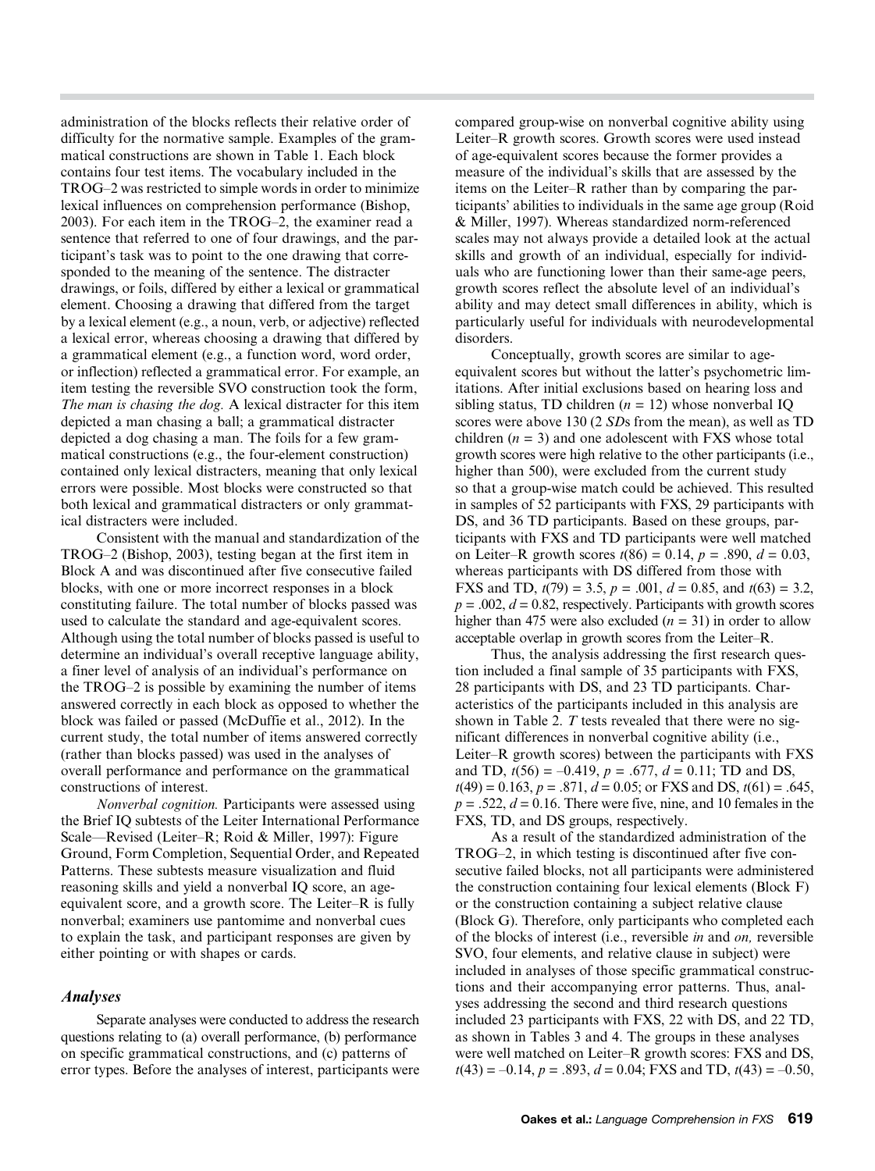administration of the blocks reflects their relative order of difficulty for the normative sample. Examples of the grammatical constructions are shown in Table 1. Each block contains four test items. The vocabulary included in the TROG–2 was restricted to simple words in order to minimize lexical influences on comprehension performance (Bishop, 2003). For each item in the TROG–2, the examiner read a sentence that referred to one of four drawings, and the participant's task was to point to the one drawing that corresponded to the meaning of the sentence. The distracter drawings, or foils, differed by either a lexical or grammatical element. Choosing a drawing that differed from the target by a lexical element (e.g., a noun, verb, or adjective) reflected a lexical error, whereas choosing a drawing that differed by a grammatical element (e.g., a function word, word order, or inflection) reflected a grammatical error. For example, an item testing the reversible SVO construction took the form, The man is chasing the dog. A lexical distracter for this item depicted a man chasing a ball; a grammatical distracter depicted a dog chasing a man. The foils for a few grammatical constructions (e.g., the four-element construction) contained only lexical distracters, meaning that only lexical errors were possible. Most blocks were constructed so that both lexical and grammatical distracters or only grammatical distracters were included.

Consistent with the manual and standardization of the TROG–2 (Bishop, 2003), testing began at the first item in Block A and was discontinued after five consecutive failed blocks, with one or more incorrect responses in a block constituting failure. The total number of blocks passed was used to calculate the standard and age-equivalent scores. Although using the total number of blocks passed is useful to determine an individual's overall receptive language ability, a finer level of analysis of an individual's performance on the TROG–2 is possible by examining the number of items answered correctly in each block as opposed to whether the block was failed or passed (McDuffie et al., 2012). In the current study, the total number of items answered correctly (rather than blocks passed) was used in the analyses of overall performance and performance on the grammatical constructions of interest.

Nonverbal cognition. Participants were assessed using the Brief IQ subtests of the Leiter International Performance Scale—Revised (Leiter–R; Roid & Miller, 1997): Figure Ground, Form Completion, Sequential Order, and Repeated Patterns. These subtests measure visualization and fluid reasoning skills and yield a nonverbal IQ score, an ageequivalent score, and a growth score. The Leiter–R is fully nonverbal; examiners use pantomime and nonverbal cues to explain the task, and participant responses are given by either pointing or with shapes or cards.

#### Analyses

Separate analyses were conducted to address the research questions relating to (a) overall performance, (b) performance on specific grammatical constructions, and (c) patterns of error types. Before the analyses of interest, participants were compared group-wise on nonverbal cognitive ability using Leiter–R growth scores. Growth scores were used instead of age-equivalent scores because the former provides a measure of the individual's skills that are assessed by the items on the Leiter–R rather than by comparing the participants' abilities to individuals in the same age group (Roid & Miller, 1997). Whereas standardized norm-referenced scales may not always provide a detailed look at the actual skills and growth of an individual, especially for individuals who are functioning lower than their same-age peers, growth scores reflect the absolute level of an individual's ability and may detect small differences in ability, which is particularly useful for individuals with neurodevelopmental disorders.

Conceptually, growth scores are similar to ageequivalent scores but without the latter's psychometric limitations. After initial exclusions based on hearing loss and sibling status, TD children ( $n = 12$ ) whose nonverbal IQ scores were above 130 (2 SDs from the mean), as well as TD children  $(n = 3)$  and one adolescent with FXS whose total growth scores were high relative to the other participants (i.e., higher than 500), were excluded from the current study so that a group-wise match could be achieved. This resulted in samples of 52 participants with FXS, 29 participants with DS, and 36 TD participants. Based on these groups, participants with FXS and TD participants were well matched on Leiter–R growth scores  $t(86) = 0.14$ ,  $p = .890$ ,  $d = 0.03$ , whereas participants with DS differed from those with FXS and TD,  $t(79) = 3.5$ ,  $p = .001$ ,  $d = 0.85$ , and  $t(63) = 3.2$ ,  $p = .002$ ,  $d = 0.82$ , respectively. Participants with growth scores higher than 475 were also excluded  $(n = 31)$  in order to allow acceptable overlap in growth scores from the Leiter–R.

Thus, the analysis addressing the first research question included a final sample of 35 participants with FXS, 28 participants with DS, and 23 TD participants. Characteristics of the participants included in this analysis are shown in Table 2. T tests revealed that there were no significant differences in nonverbal cognitive ability (i.e., Leiter–R growth scores) between the participants with FXS and TD,  $t(56) = -0.419$ ,  $p = .677$ ,  $d = 0.11$ ; TD and DS,  $t(49) = 0.163$ ,  $p = .871$ ,  $d = 0.05$ ; or FXS and DS,  $t(61) = .645$ ,  $p = .522$ ,  $d = 0.16$ . There were five, nine, and 10 females in the FXS, TD, and DS groups, respectively.

As a result of the standardized administration of the TROG–2, in which testing is discontinued after five consecutive failed blocks, not all participants were administered the construction containing four lexical elements (Block F) or the construction containing a subject relative clause (Block G). Therefore, only participants who completed each of the blocks of interest (i.e., reversible in and on, reversible SVO, four elements, and relative clause in subject) were included in analyses of those specific grammatical constructions and their accompanying error patterns. Thus, analyses addressing the second and third research questions included 23 participants with FXS, 22 with DS, and 22 TD, as shown in Tables 3 and 4. The groups in these analyses were well matched on Leiter–R growth scores: FXS and DS,  $t(43) = -0.14$ ,  $p = .893$ ,  $d = 0.04$ ; FXS and TD,  $t(43) = -0.50$ ,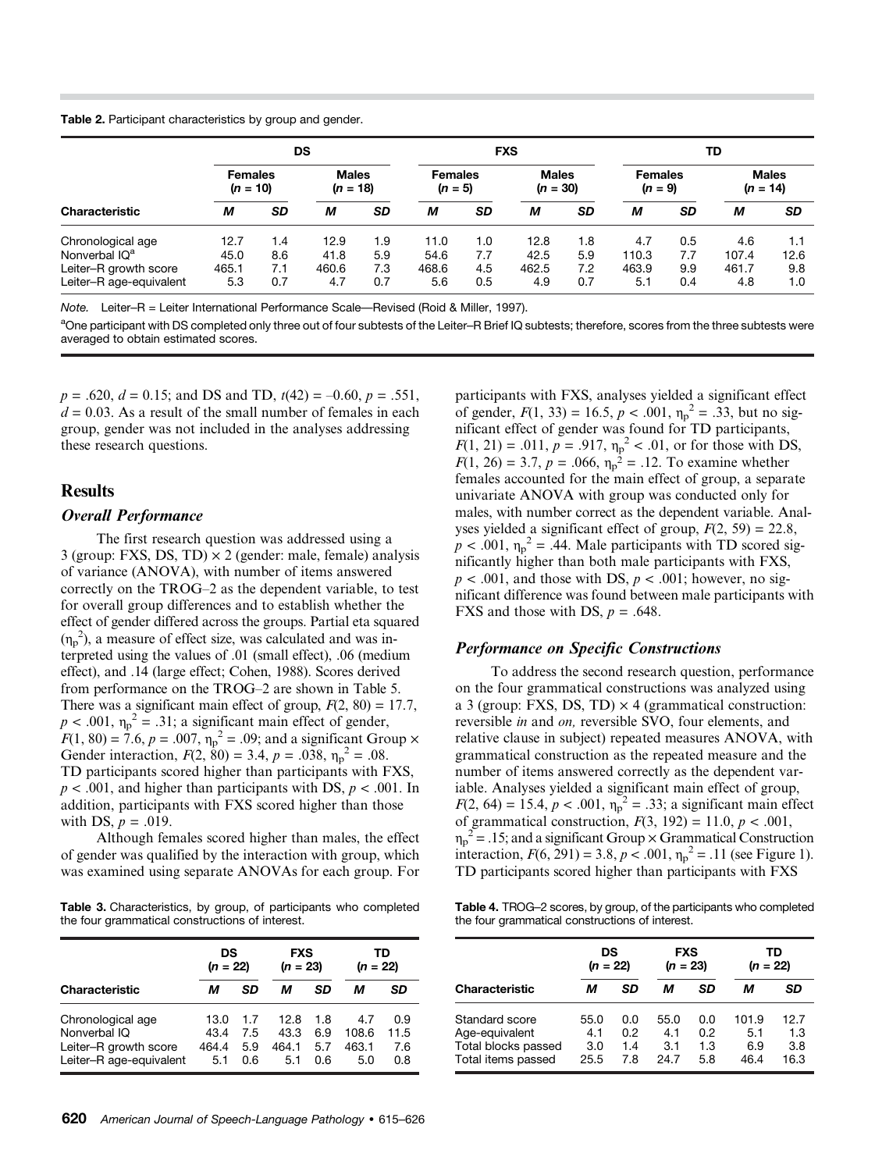Table 2. Participant characteristics by group and gender.

|                           |                | DS        | <b>FXS</b>   |           |                |     | TD           |           |                |     |              |           |
|---------------------------|----------------|-----------|--------------|-----------|----------------|-----|--------------|-----------|----------------|-----|--------------|-----------|
|                           | <b>Females</b> |           | <b>Males</b> |           | <b>Females</b> |     | <b>Males</b> |           | <b>Females</b> |     | <b>Males</b> |           |
|                           | $(n = 10)$     |           | $(n = 18)$   |           | $(n = 5)$      |     | $(n = 30)$   |           | $(n = 9)$      |     | $(n = 14)$   |           |
| <b>Characteristic</b>     | М              | <b>SD</b> | М            | <b>SD</b> | М              | SD  | М            | <b>SD</b> | М              | SD  | М            | <b>SD</b> |
| Chronological age         | 12.7           | 1.4       | 12.9         | 9.        | 11.0           | 1.0 | 12.8         | 1.8       | 4.7            | 0.5 | 4.6          | 1.1       |
| Nonverbal IQ <sup>a</sup> | 45.0           | 8.6       | 41.8         | 5.9       | 54.6           | 7.7 | 42.5         | 5.9       | 110.3          | 7.7 | 107.4        | 12.6      |
| Leiter-R growth score     | 465.1          | 7.1       | 460.6        | 7.3       | 468.6          | 4.5 | 462.5        | 7.2       | 463.9          | 9.9 | 461.7        | 9.8       |
| Leiter-R age-equivalent   | 5.3            | 0.7       | 4.7          | 0.7       | 5.6            | 0.5 | 4.9          | 0.7       | 5.1            | 0.4 | 4.8          | 1.0       |

Note. Leiter–R = Leiter International Performance Scale—Revised (Roid & Miller, 1997).

<sup>a</sup>One participant with DS completed only three out of four subtests of the Leiter–R Brief IQ subtests; therefore, scores from the three subtests were averaged to obtain estimated scores.

 $p = .620, d = 0.15$ ; and DS and TD,  $t(42) = -0.60, p = .551$ ,  $d = 0.03$ . As a result of the small number of females in each group, gender was not included in the analyses addressing these research questions.

## **Results**

#### Overall Performance

The first research question was addressed using a 3 (group: FXS, DS, TD)  $\times$  2 (gender: male, female) analysis of variance (ANOVA), with number of items answered correctly on the TROG–2 as the dependent variable, to test for overall group differences and to establish whether the effect of gender differed across the groups. Partial eta squared  $(\eta_p^2)$ , a measure of effect size, was calculated and was interpreted using the values of .01 (small effect), .06 (medium effect), and .14 (large effect; Cohen, 1988). Scores derived from performance on the TROG–2 are shown in Table 5. There was a significant main effect of group,  $F(2, 80) = 17.7$ ,  $p < .001$ ,  $\eta_p^2 = .31$ ; a significant main effect of gender,  $F(1, 80) = 7.6, p = .007, \eta_p^2 = .09$ ; and a significant Group  $\times$ Gender interaction,  $F(2, 80) = 3.4$ ,  $p = .038$ ,  $\eta_p^2 = .08$ . TD participants scored higher than participants with FXS,  $p < .001$ , and higher than participants with DS,  $p < .001$ . In addition, participants with FXS scored higher than those with DS,  $p = .019$ .

Although females scored higher than males, the effect of gender was qualified by the interaction with group, which was examined using separate ANOVAs for each group. For

Table 3. Characteristics, by group, of participants who completed the four grammatical constructions of interest.

|                                                                                       | DS<br>$(n = 22)$             |                          | <b>FXS</b><br>$(n = 23)$     |                          | TD<br>$(n = 22)$             |                           |
|---------------------------------------------------------------------------------------|------------------------------|--------------------------|------------------------------|--------------------------|------------------------------|---------------------------|
| <b>Characteristic</b>                                                                 | м                            | SD                       | м                            | SD                       | м                            | SD                        |
| Chronological age<br>Nonverbal IQ<br>Leiter-R growth score<br>Leiter-R age-equivalent | 13.0<br>43.4<br>464.4<br>5.1 | 1.7<br>7.5<br>5.9<br>0.6 | 12.8<br>43.3<br>464.1<br>5.1 | 1.8<br>6.9<br>5.7<br>0.6 | 4.7<br>108.6<br>463.1<br>5.0 | 0.9<br>11.5<br>7.6<br>0.8 |

participants with FXS, analyses yielded a significant effect of gender,  $F(1, 33) = 16.5, p < .001, \eta_p^2 = .33$ , but no significant effect of gender was found for TD participants,  $F(1, 21) = .011$ ,  $p = .917$ ,  $\eta_p^2 < .01$ , or for those with DS,  $F(1, 26) = 3.7, p = .066, \eta_p^2 = .12$ . To examine whether females accounted for the main effect of group, a separate univariate ANOVA with group was conducted only for males, with number correct as the dependent variable. Analyses yielded a significant effect of group,  $F(2, 59) = 22.8$ ,  $p < .001$ ,  $\eta_p^2 = .44$ . Male participants with TD scored significantly higher than both male participants with FXS,  $p < .001$ , and those with DS,  $p < .001$ ; however, no significant difference was found between male participants with FXS and those with DS,  $p = .648$ .

#### Performance on Specific Constructions

To address the second research question, performance on the four grammatical constructions was analyzed using a 3 (group: FXS, DS, TD)  $\times$  4 (grammatical construction: reversible in and on, reversible SVO, four elements, and relative clause in subject) repeated measures ANOVA, with grammatical construction as the repeated measure and the number of items answered correctly as the dependent variable. Analyses yielded a significant main effect of group,  $F(2, 64) = 15.4, p < .001, \eta_p^2 = .33$ ; a significant main effect of grammatical construction,  $F(3, 192) = 11.0, p < .001$ ,  $\eta_p^2$  = .15; and a significant Group  $\times$  Grammatical Construction interaction,  $F(6, 291) = 3.8, p < .001, \eta_p^2 = .11$  (see Figure 1). TD participants scored higher than participants with FXS

Table 4. TROG–2 scores, by group, of the participants who completed the four grammatical constructions of interest.

|                                                                               | DS<br>$(n = 22)$           |                          | <b>FXS</b><br>$(n = 23)$   |                          | TD<br>$(n = 22)$            |                            |  |
|-------------------------------------------------------------------------------|----------------------------|--------------------------|----------------------------|--------------------------|-----------------------------|----------------------------|--|
| Characteristic                                                                | м                          | SD                       | м                          | SD                       | м                           | SD                         |  |
| Standard score<br>Age-equivalent<br>Total blocks passed<br>Total items passed | 55.0<br>4.1<br>3.0<br>25.5 | 0.0<br>0.2<br>1.4<br>7.8 | 55.0<br>4.1<br>3.1<br>24.7 | 0.0<br>0.2<br>1.3<br>5.8 | 101.9<br>5.1<br>6.9<br>46.4 | 12.7<br>1.3<br>3.8<br>16.3 |  |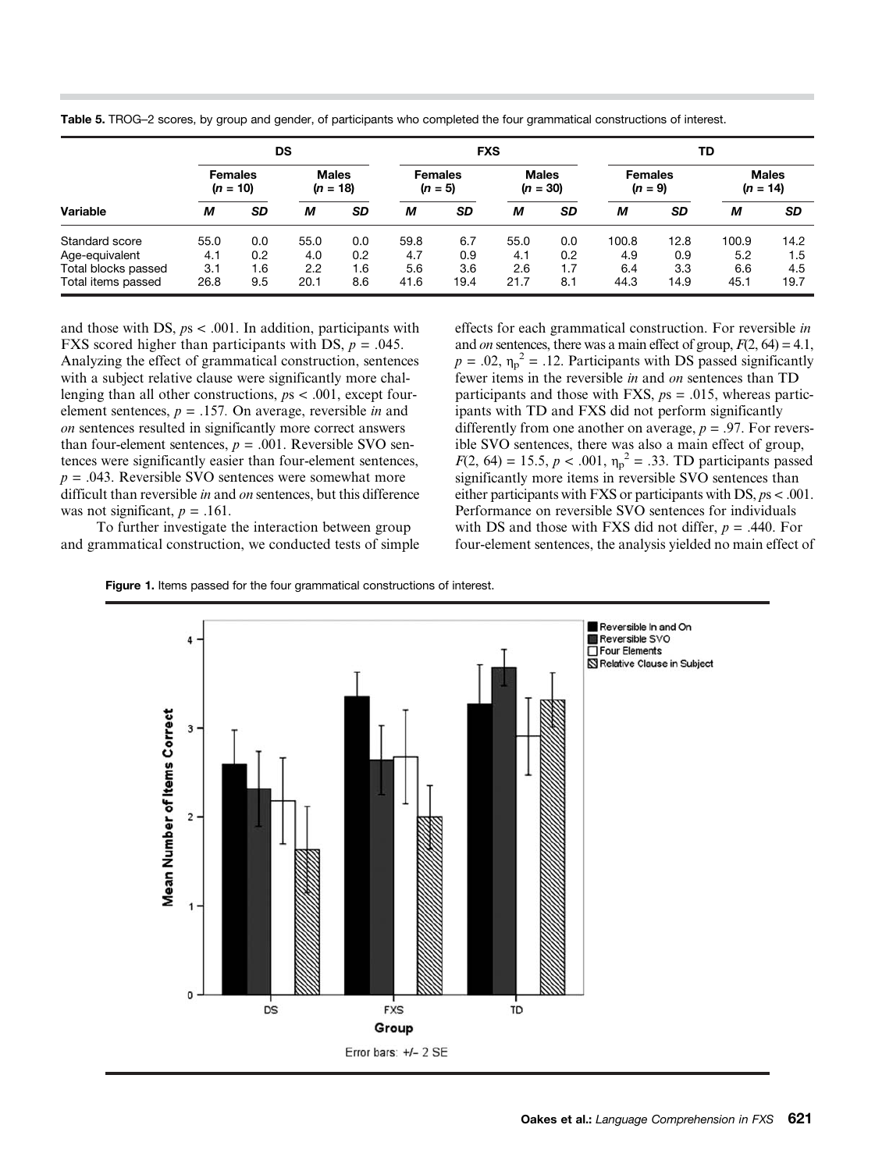|                     | DS                           |           |                            |           | <b>FXS</b>                  |           |                            |     | TD                          |           |                            |           |
|---------------------|------------------------------|-----------|----------------------------|-----------|-----------------------------|-----------|----------------------------|-----|-----------------------------|-----------|----------------------------|-----------|
|                     | <b>Females</b><br>$(n = 10)$ |           | <b>Males</b><br>$(n = 18)$ |           | <b>Females</b><br>$(n = 5)$ |           | <b>Males</b><br>$(n = 30)$ |     | <b>Females</b><br>$(n = 9)$ |           | <b>Males</b><br>$(n = 14)$ |           |
| Variable            | М                            | <b>SD</b> | М                          | <b>SD</b> | М                           | <b>SD</b> | М                          | SD  | м                           | <b>SD</b> | М                          | <b>SD</b> |
| Standard score      | 55.0                         | 0.0       | 55.0                       | 0.0       | 59.8                        | 6.7       | 55.0                       | 0.0 | 100.8                       | 12.8      | 100.9                      | 14.2      |
| Age-equivalent      | 4.1                          | 0.2       | 4.0                        | 0.2       | 4.7                         | 0.9       | 4.1                        | 0.2 | 4.9                         | 0.9       | 5.2                        | 1.5       |
| Total blocks passed | 3.1                          | 1.6       | 2.2                        | 1.6       | 5.6                         | 3.6       | 2.6                        | 1.7 | 6.4                         | 3.3       | 6.6                        | 4.5       |
| Total items passed  | 26.8                         | 9.5       | 20.1                       | 8.6       | 41.6                        | 19.4      | 21.7                       | 8.1 | 44.3                        | 14.9      | 45.1                       | 19.7      |

Table 5. TROG–2 scores, by group and gender, of participants who completed the four grammatical constructions of interest.

and those with DS,  $ps < .001$ . In addition, participants with FXS scored higher than participants with DS,  $p = .045$ . Analyzing the effect of grammatical construction, sentences with a subject relative clause were significantly more challenging than all other constructions,  $ps < .001$ , except fourelement sentences,  $p = .157$ . On average, reversible *in* and on sentences resulted in significantly more correct answers than four-element sentences,  $p = .001$ . Reversible SVO sentences were significantly easier than four-element sentences,  $p = .043$ . Reversible SVO sentences were somewhat more difficult than reversible in and on sentences, but this difference was not significant,  $p = .161$ .

To further investigate the interaction between group and grammatical construction, we conducted tests of simple effects for each grammatical construction. For reversible in and *on* sentences, there was a main effect of group,  $F(2, 64) = 4.1$ ,  $p = .02$ ,  $\eta_p^2 = .12$ . Participants with DS passed significantly fewer items in the reversible in and on sentences than TD participants and those with FXS,  $ps = .015$ , whereas participants with TD and FXS did not perform significantly differently from one another on average,  $p = .97$ . For reversible SVO sentences, there was also a main effect of group,  $F(2, 64) = 15.5, p < .001, \eta_p^2 = .33$ . TD participants passed significantly more items in reversible SVO sentences than either participants with FXS or participants with DS, ps < .001. Performance on reversible SVO sentences for individuals with DS and those with FXS did not differ,  $p = .440$ . For four-element sentences, the analysis yielded no main effect of



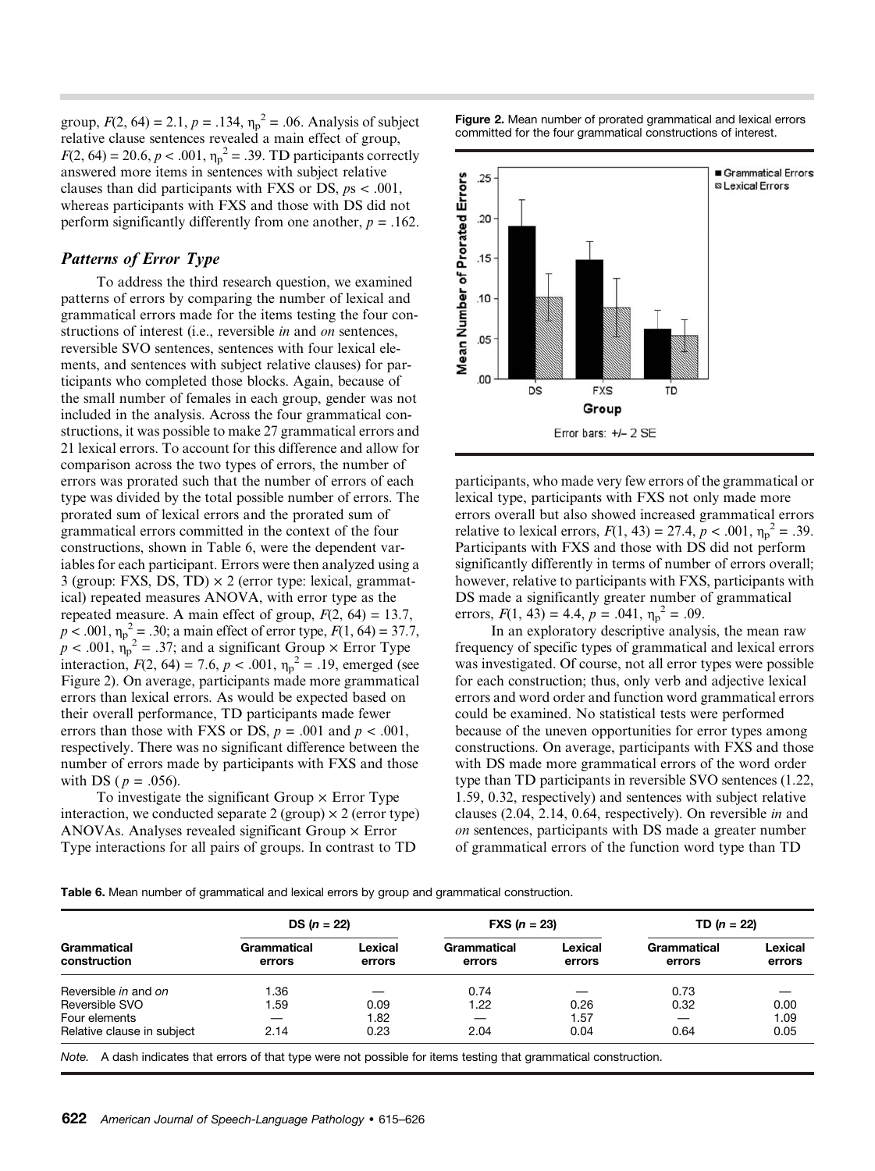group,  $F(2, 64) = 2.1$ ,  $p = .134$ ,  $\eta_p^2 = .06$ . Analysis of subject relative clause sentences revealed a main effect of group,  $F(2, 64) = 20.6, p < .001, \eta_p^2 = .39$ . TD participants correctly answered more items in sentences with subject relative clauses than did participants with FXS or DS,  $ps < .001$ , whereas participants with FXS and those with DS did not perform significantly differently from one another,  $p = .162$ .

# Patterns of Error Type

To address the third research question, we examined patterns of errors by comparing the number of lexical and grammatical errors made for the items testing the four constructions of interest (i.e., reversible *in* and *on* sentences, reversible SVO sentences, sentences with four lexical elements, and sentences with subject relative clauses) for participants who completed those blocks. Again, because of the small number of females in each group, gender was not included in the analysis. Across the four grammatical constructions, it was possible to make 27 grammatical errors and 21 lexical errors. To account for this difference and allow for comparison across the two types of errors, the number of errors was prorated such that the number of errors of each type was divided by the total possible number of errors. The prorated sum of lexical errors and the prorated sum of grammatical errors committed in the context of the four constructions, shown in Table 6, were the dependent variables for each participant. Errors were then analyzed using a 3 (group: FXS, DS, TD)  $\times$  2 (error type: lexical, grammatical) repeated measures ANOVA, with error type as the repeated measure. A main effect of group,  $F(2, 64) = 13.7$ ,  $p < .001$ ,  $\eta_p^2 = .30$ ; a main effect of error type,  $F(1, 64) = 37.7$ ,  $p < .001$ ,  $\eta_p^2 = .37$ ; and a significant Group  $\times$  Error Type interaction,  $F(2, 64) = 7.6$ ,  $p < .001$ ,  $\eta_p^2 = .19$ , emerged (see Figure 2). On average, participants made more grammatical errors than lexical errors. As would be expected based on their overall performance, TD participants made fewer errors than those with FXS or DS,  $p = .001$  and  $p < .001$ , respectively. There was no significant difference between the number of errors made by participants with FXS and those with DS ( $p = .056$ ).

To investigate the significant Group  $\times$  Error Type interaction, we conducted separate 2 (group)  $\times$  2 (error type) ANOVAs. Analyses revealed significant Group  $\times$  Error Type interactions for all pairs of groups. In contrast to TD

Figure 2. Mean number of prorated grammatical and lexical errors committed for the four grammatical constructions of interest.



participants, who made very few errors of the grammatical or lexical type, participants with FXS not only made more errors overall but also showed increased grammatical errors relative to lexical errors,  $F(1, 43) = 27.4, p < .001, \eta_p^2 = .39$ . Participants with FXS and those with DS did not perform significantly differently in terms of number of errors overall; however, relative to participants with FXS, participants with DS made a significantly greater number of grammatical errors,  $F(1, 43) = 4.4$ ,  $p = .041$ ,  $\eta_p^2 = .09$ .

In an exploratory descriptive analysis, the mean raw frequency of specific types of grammatical and lexical errors was investigated. Of course, not all error types were possible for each construction; thus, only verb and adjective lexical errors and word order and function word grammatical errors could be examined. No statistical tests were performed because of the uneven opportunities for error types among constructions. On average, participants with FXS and those with DS made more grammatical errors of the word order type than TD participants in reversible SVO sentences (1.22, 1.59, 0.32, respectively) and sentences with subject relative clauses (2.04, 2.14, 0.64, respectively). On reversible in and on sentences, participants with DS made a greater number of grammatical errors of the function word type than TD

Table 6. Mean number of grammatical and lexical errors by group and grammatical construction.

|                             | $DS (n = 22)$         |                   | $\textsf{FXS}$ ( <i>n</i> = 23) |                   | TD $(n = 22)$         |                   |  |
|-----------------------------|-----------------------|-------------------|---------------------------------|-------------------|-----------------------|-------------------|--|
| Grammatical<br>construction | Grammatical<br>errors | Lexical<br>errors | Grammatical<br>errors           | Lexical<br>errors | Grammatical<br>errors | Lexical<br>errors |  |
| Reversible in and on        | I.36                  |                   | 0.74                            |                   | 0.73                  |                   |  |
| Reversible SVO              | ∣.59                  | 0.09              | 1.22                            | 0.26              | 0.32                  | 0.00              |  |
| Four elements               |                       | 1.82              |                                 | 1.57              |                       | 1.09              |  |
| Relative clause in subject  | 2.14                  | 0.23              | 2.04                            | 0.04              | 0.64                  | 0.05              |  |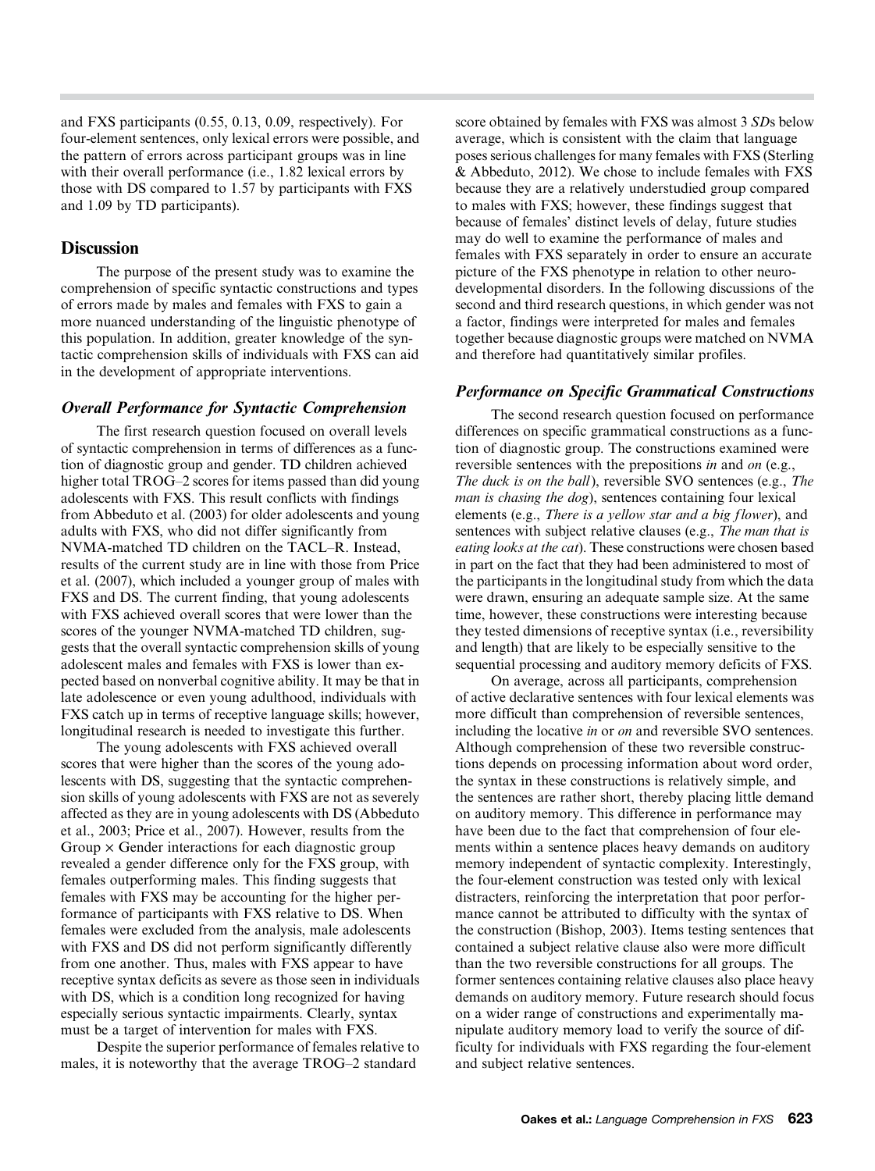and FXS participants (0.55, 0.13, 0.09, respectively). For four-element sentences, only lexical errors were possible, and the pattern of errors across participant groups was in line with their overall performance (i.e., 1.82 lexical errors by those with DS compared to 1.57 by participants with FXS and 1.09 by TD participants).

## **Discussion**

The purpose of the present study was to examine the comprehension of specific syntactic constructions and types of errors made by males and females with FXS to gain a more nuanced understanding of the linguistic phenotype of this population. In addition, greater knowledge of the syntactic comprehension skills of individuals with FXS can aid in the development of appropriate interventions.

#### Overall Performance for Syntactic Comprehension

The first research question focused on overall levels of syntactic comprehension in terms of differences as a function of diagnostic group and gender. TD children achieved higher total TROG–2 scores for items passed than did young adolescents with FXS. This result conflicts with findings from Abbeduto et al. (2003) for older adolescents and young adults with FXS, who did not differ significantly from NVMA-matched TD children on the TACL–R. Instead, results of the current study are in line with those from Price et al. (2007), which included a younger group of males with FXS and DS. The current finding, that young adolescents with FXS achieved overall scores that were lower than the scores of the younger NVMA-matched TD children, suggests that the overall syntactic comprehension skills of young adolescent males and females with FXS is lower than expected based on nonverbal cognitive ability. It may be that in late adolescence or even young adulthood, individuals with FXS catch up in terms of receptive language skills; however, longitudinal research is needed to investigate this further.

The young adolescents with FXS achieved overall scores that were higher than the scores of the young adolescents with DS, suggesting that the syntactic comprehension skills of young adolescents with FXS are not as severely affected as they are in young adolescents with DS (Abbeduto et al., 2003; Price et al., 2007). However, results from the Group  $\times$  Gender interactions for each diagnostic group revealed a gender difference only for the FXS group, with females outperforming males. This finding suggests that females with FXS may be accounting for the higher performance of participants with FXS relative to DS. When females were excluded from the analysis, male adolescents with FXS and DS did not perform significantly differently from one another. Thus, males with FXS appear to have receptive syntax deficits as severe as those seen in individuals with DS, which is a condition long recognized for having especially serious syntactic impairments. Clearly, syntax must be a target of intervention for males with FXS.

Despite the superior performance of females relative to males, it is noteworthy that the average TROG–2 standard

score obtained by females with FXS was almost 3 SDs below average, which is consistent with the claim that language poses serious challenges for many females with FXS (Sterling & Abbeduto, 2012). We chose to include females with FXS because they are a relatively understudied group compared to males with FXS; however, these findings suggest that because of females' distinct levels of delay, future studies may do well to examine the performance of males and females with FXS separately in order to ensure an accurate picture of the FXS phenotype in relation to other neurodevelopmental disorders. In the following discussions of the second and third research questions, in which gender was not a factor, findings were interpreted for males and females together because diagnostic groups were matched on NVMA and therefore had quantitatively similar profiles.

#### Performance on Specific Grammatical Constructions

The second research question focused on performance differences on specific grammatical constructions as a function of diagnostic group. The constructions examined were reversible sentences with the prepositions in and on (e.g., The duck is on the ball), reversible SVO sentences (e.g., The man is chasing the dog), sentences containing four lexical elements (e.g., There is a yellow star and a big flower), and sentences with subject relative clauses (e.g., *The man that is* eating looks at the cat). These constructions were chosen based in part on the fact that they had been administered to most of the participants in the longitudinal study from which the data were drawn, ensuring an adequate sample size. At the same time, however, these constructions were interesting because they tested dimensions of receptive syntax (i.e., reversibility and length) that are likely to be especially sensitive to the sequential processing and auditory memory deficits of FXS.

On average, across all participants, comprehension of active declarative sentences with four lexical elements was more difficult than comprehension of reversible sentences, including the locative in or on and reversible SVO sentences. Although comprehension of these two reversible constructions depends on processing information about word order, the syntax in these constructions is relatively simple, and the sentences are rather short, thereby placing little demand on auditory memory. This difference in performance may have been due to the fact that comprehension of four elements within a sentence places heavy demands on auditory memory independent of syntactic complexity. Interestingly, the four-element construction was tested only with lexical distracters, reinforcing the interpretation that poor performance cannot be attributed to difficulty with the syntax of the construction (Bishop, 2003). Items testing sentences that contained a subject relative clause also were more difficult than the two reversible constructions for all groups. The former sentences containing relative clauses also place heavy demands on auditory memory. Future research should focus on a wider range of constructions and experimentally manipulate auditory memory load to verify the source of difficulty for individuals with FXS regarding the four-element and subject relative sentences.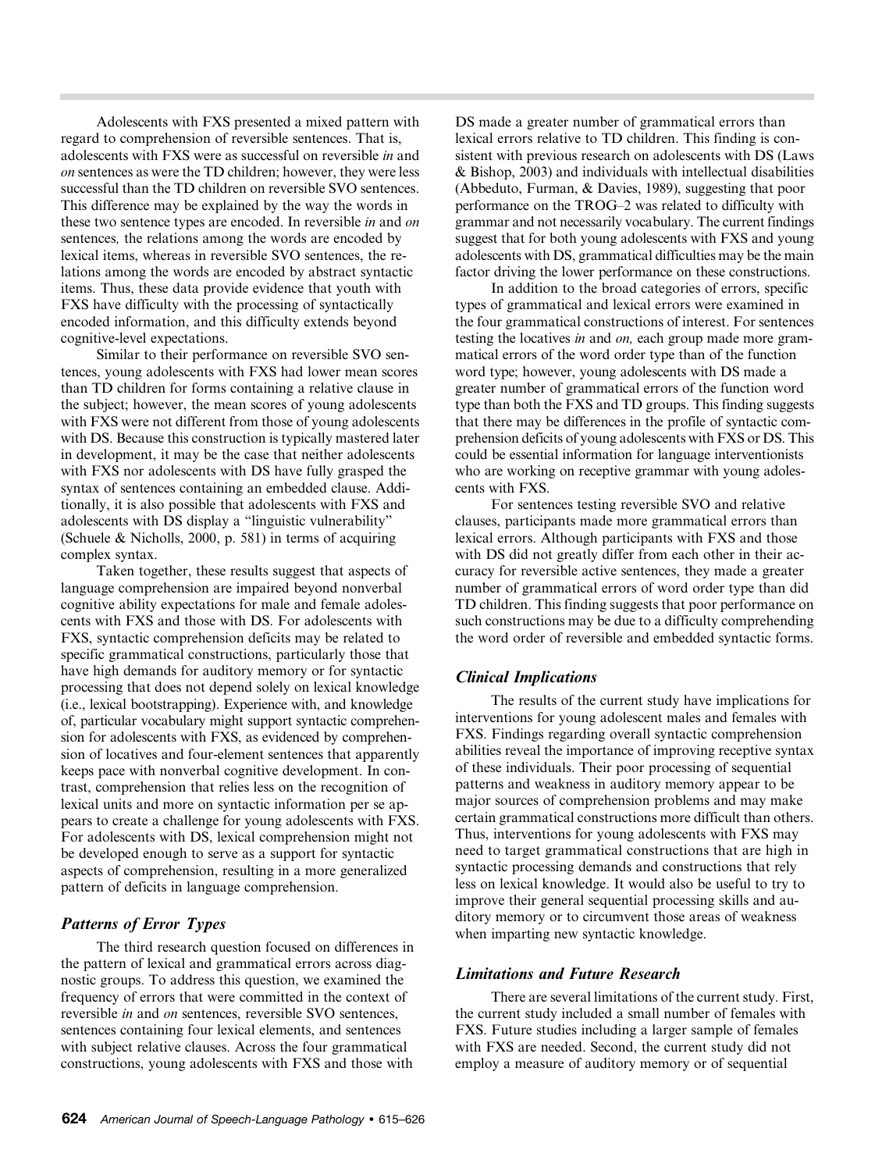Adolescents with FXS presented a mixed pattern with regard to comprehension of reversible sentences. That is, adolescents with FXS were as successful on reversible in and on sentences as were the TD children; however, they were less successful than the TD children on reversible SVO sentences. This difference may be explained by the way the words in these two sentence types are encoded. In reversible *in* and *on* sentences, the relations among the words are encoded by lexical items, whereas in reversible SVO sentences, the relations among the words are encoded by abstract syntactic items. Thus, these data provide evidence that youth with FXS have difficulty with the processing of syntactically encoded information, and this difficulty extends beyond cognitive-level expectations.

Similar to their performance on reversible SVO sentences, young adolescents with FXS had lower mean scores than TD children for forms containing a relative clause in the subject; however, the mean scores of young adolescents with FXS were not different from those of young adolescents with DS. Because this construction is typically mastered later in development, it may be the case that neither adolescents with FXS nor adolescents with DS have fully grasped the syntax of sentences containing an embedded clause. Additionally, it is also possible that adolescents with FXS and adolescents with DS display a "linguistic vulnerability" (Schuele & Nicholls, 2000, p. 581) in terms of acquiring complex syntax.

Taken together, these results suggest that aspects of language comprehension are impaired beyond nonverbal cognitive ability expectations for male and female adolescents with FXS and those with DS. For adolescents with FXS, syntactic comprehension deficits may be related to specific grammatical constructions, particularly those that have high demands for auditory memory or for syntactic processing that does not depend solely on lexical knowledge (i.e., lexical bootstrapping). Experience with, and knowledge of, particular vocabulary might support syntactic comprehension for adolescents with FXS, as evidenced by comprehension of locatives and four-element sentences that apparently keeps pace with nonverbal cognitive development. In contrast, comprehension that relies less on the recognition of lexical units and more on syntactic information per se appears to create a challenge for young adolescents with FXS. For adolescents with DS, lexical comprehension might not be developed enough to serve as a support for syntactic aspects of comprehension, resulting in a more generalized pattern of deficits in language comprehension.

#### Patterns of Error Types

The third research question focused on differences in the pattern of lexical and grammatical errors across diagnostic groups. To address this question, we examined the frequency of errors that were committed in the context of reversible in and on sentences, reversible SVO sentences, sentences containing four lexical elements, and sentences with subject relative clauses. Across the four grammatical constructions, young adolescents with FXS and those with

DS made a greater number of grammatical errors than lexical errors relative to TD children. This finding is consistent with previous research on adolescents with DS (Laws & Bishop, 2003) and individuals with intellectual disabilities (Abbeduto, Furman, & Davies, 1989), suggesting that poor performance on the TROG–2 was related to difficulty with grammar and not necessarily vocabulary. The current findings suggest that for both young adolescents with FXS and young adolescents with DS, grammatical difficulties may be the main factor driving the lower performance on these constructions.

In addition to the broad categories of errors, specific types of grammatical and lexical errors were examined in the four grammatical constructions of interest. For sentences testing the locatives in and on, each group made more grammatical errors of the word order type than of the function word type; however, young adolescents with DS made a greater number of grammatical errors of the function word type than both the FXS and TD groups. This finding suggests that there may be differences in the profile of syntactic comprehension deficits of young adolescents with FXS or DS. This could be essential information for language interventionists who are working on receptive grammar with young adolescents with FXS.

For sentences testing reversible SVO and relative clauses, participants made more grammatical errors than lexical errors. Although participants with FXS and those with DS did not greatly differ from each other in their accuracy for reversible active sentences, they made a greater number of grammatical errors of word order type than did TD children. This finding suggests that poor performance on such constructions may be due to a difficulty comprehending the word order of reversible and embedded syntactic forms.

#### Clinical Implications

The results of the current study have implications for interventions for young adolescent males and females with FXS. Findings regarding overall syntactic comprehension abilities reveal the importance of improving receptive syntax of these individuals. Their poor processing of sequential patterns and weakness in auditory memory appear to be major sources of comprehension problems and may make certain grammatical constructions more difficult than others. Thus, interventions for young adolescents with FXS may need to target grammatical constructions that are high in syntactic processing demands and constructions that rely less on lexical knowledge. It would also be useful to try to improve their general sequential processing skills and auditory memory or to circumvent those areas of weakness when imparting new syntactic knowledge.

#### Limitations and Future Research

There are several limitations of the current study. First, the current study included a small number of females with FXS. Future studies including a larger sample of females with FXS are needed. Second, the current study did not employ a measure of auditory memory or of sequential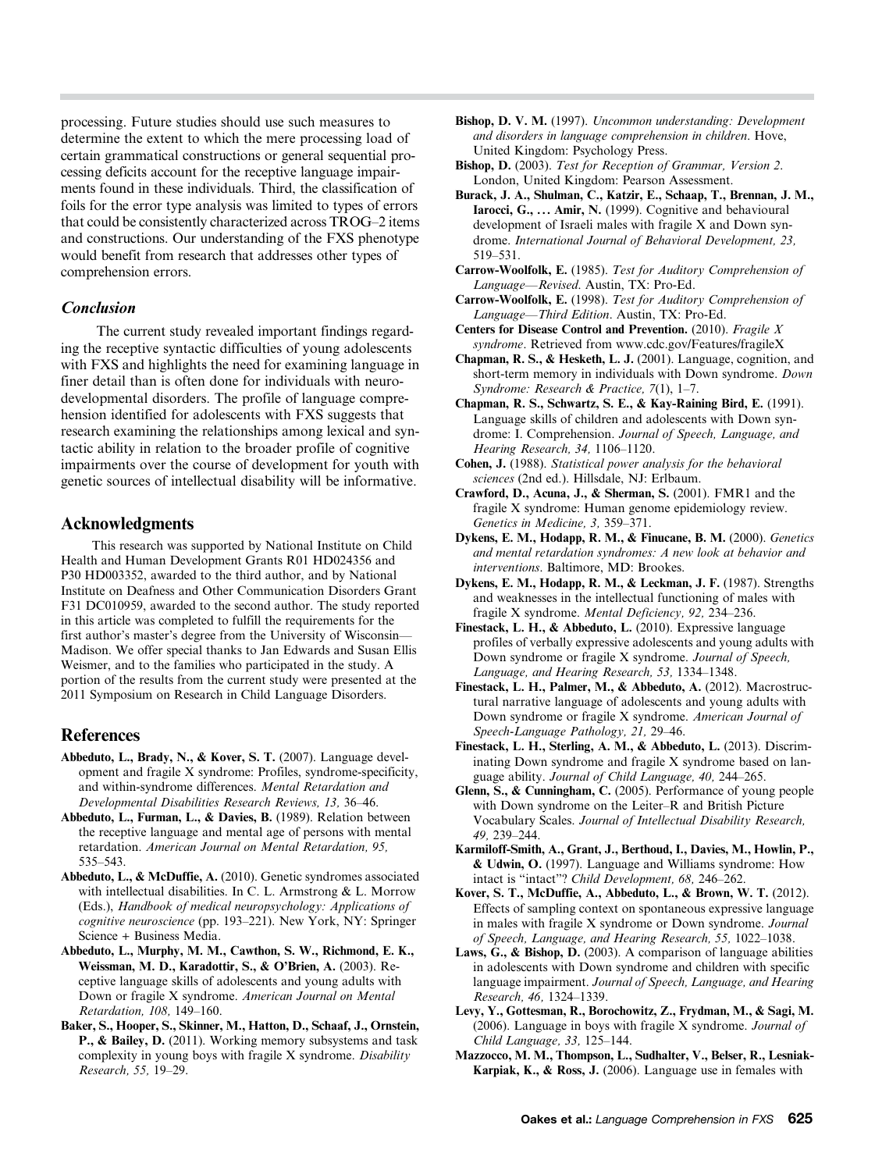processing. Future studies should use such measures to determine the extent to which the mere processing load of certain grammatical constructions or general sequential processing deficits account for the receptive language impairments found in these individuals. Third, the classification of foils for the error type analysis was limited to types of errors that could be consistently characterized across TROG–2 items and constructions. Our understanding of the FXS phenotype would benefit from research that addresses other types of comprehension errors.

#### Conclusion

The current study revealed important findings regarding the receptive syntactic difficulties of young adolescents with FXS and highlights the need for examining language in finer detail than is often done for individuals with neurodevelopmental disorders. The profile of language comprehension identified for adolescents with FXS suggests that research examining the relationships among lexical and syntactic ability in relation to the broader profile of cognitive impairments over the course of development for youth with genetic sources of intellectual disability will be informative.

#### Acknowledgments

This research was supported by National Institute on Child Health and Human Development Grants R01 HD024356 and P30 HD003352, awarded to the third author, and by National Institute on Deafness and Other Communication Disorders Grant F31 DC010959, awarded to the second author. The study reported in this article was completed to fulfill the requirements for the first author's master's degree from the University of Wisconsin— Madison. We offer special thanks to Jan Edwards and Susan Ellis Weismer, and to the families who participated in the study. A portion of the results from the current study were presented at the 2011 Symposium on Research in Child Language Disorders.

#### References

- Abbeduto, L., Brady, N., & Kover, S. T. (2007). Language development and fragile X syndrome: Profiles, syndrome-specificity, and within-syndrome differences. Mental Retardation and Developmental Disabilities Research Reviews, 13, 36–46.
- Abbeduto, L., Furman, L., & Davies, B. (1989). Relation between the receptive language and mental age of persons with mental retardation. American Journal on Mental Retardation, 95, 535–543.
- Abbeduto, L., & McDuffie, A. (2010). Genetic syndromes associated with intellectual disabilities. In C. L. Armstrong & L. Morrow (Eds.), Handbook of medical neuropsychology: Applications of cognitive neuroscience (pp. 193–221). New York, NY: Springer Science + Business Media.
- Abbeduto, L., Murphy, M. M., Cawthon, S. W., Richmond, E. K., Weissman, M. D., Karadottir, S., & O*'*Brien, A. (2003). Receptive language skills of adolescents and young adults with Down or fragile X syndrome. American Journal on Mental Retardation, 108, 149–160.
- Baker, S., Hooper, S., Skinner, M., Hatton, D., Schaaf, J., Ornstein, P., & Bailey, D. (2011). Working memory subsystems and task complexity in young boys with fragile X syndrome. Disability Research, 55, 19–29.
- Bishop, D. V. M. (1997). Uncommon understanding: Development and disorders in language comprehension in children. Hove, United Kingdom: Psychology Press.
- Bishop, D. (2003). Test for Reception of Grammar, Version 2. London, United Kingdom: Pearson Assessment.
- Burack, J. A., Shulman, C., Katzir, E., Schaap, T., Brennan, J. M., Iarocci, G., ... Amir, N. (1999). Cognitive and behavioural development of Israeli males with fragile X and Down syndrome. International Journal of Behavioral Development, 23, 519–531.
- Carrow-Woolfolk, E. (1985). Test for Auditory Comprehension of Language—Revised. Austin, TX: Pro-Ed.
- Carrow-Woolfolk, E. (1998). Test for Auditory Comprehension of Language—Third Edition. Austin, TX: Pro-Ed.
- Centers for Disease Control and Prevention. (2010). Fragile X syndrome. Retrieved from www.cdc.gov/Features/fragileX
- Chapman, R. S., & Hesketh, L. J. (2001). Language, cognition, and short-term memory in individuals with Down syndrome. Down Syndrome: Research & Practice, 7(1), 1–7.
- Chapman, R. S., Schwartz, S. E., & Kay-Raining Bird, E. (1991). Language skills of children and adolescents with Down syndrome: I. Comprehension. Journal of Speech, Language, and Hearing Research, 34, 1106–1120.
- Cohen, J. (1988). Statistical power analysis for the behavioral sciences (2nd ed.). Hillsdale, NJ: Erlbaum.
- Crawford, D., Acuna, J., & Sherman, S. (2001). FMR1 and the fragile X syndrome: Human genome epidemiology review. Genetics in Medicine, 3, 359–371.
- Dykens, E. M., Hodapp, R. M., & Finucane, B. M. (2000). Genetics and mental retardation syndromes: A new look at behavior and interventions. Baltimore, MD: Brookes.
- Dykens, E. M., Hodapp, R. M., & Leckman, J. F. (1987). Strengths and weaknesses in the intellectual functioning of males with fragile X syndrome. Mental Deficiency, 92, 234–236.
- Finestack, L. H., & Abbeduto, L. (2010). Expressive language profiles of verbally expressive adolescents and young adults with Down syndrome or fragile X syndrome. Journal of Speech, Language, and Hearing Research, 53, 1334–1348.
- Finestack, L. H., Palmer, M., & Abbeduto, A. (2012). Macrostructural narrative language of adolescents and young adults with Down syndrome or fragile X syndrome. American Journal of Speech-Language Pathology, 21, 29–46.
- Finestack, L. H., Sterling, A. M., & Abbeduto, L. (2013). Discriminating Down syndrome and fragile X syndrome based on language ability. Journal of Child Language, 40, 244–265.
- Glenn, S., & Cunningham, C. (2005). Performance of young people with Down syndrome on the Leiter–R and British Picture Vocabulary Scales. Journal of Intellectual Disability Research, 49, 239–244.
- Karmiloff-Smith, A., Grant, J., Berthoud, I., Davies, M., Howlin, P., & Udwin, O. (1997). Language and Williams syndrome: How intact is "intact"? Child Development, 68, 246–262.
- Kover, S. T., McDuffie, A., Abbeduto, L., & Brown, W. T. (2012). Effects of sampling context on spontaneous expressive language in males with fragile X syndrome or Down syndrome. Journal of Speech, Language, and Hearing Research, 55, 1022–1038.
- Laws, G., & Bishop, D. (2003). A comparison of language abilities in adolescents with Down syndrome and children with specific language impairment. Journal of Speech, Language, and Hearing Research, 46, 1324–1339.
- Levy, Y., Gottesman, R., Borochowitz, Z., Frydman, M., & Sagi, M. (2006). Language in boys with fragile X syndrome. Journal of Child Language, 33, 125–144.
- Mazzocco, M. M., Thompson, L., Sudhalter, V., Belser, R., Lesniak-Karpiak, K., & Ross, J. (2006). Language use in females with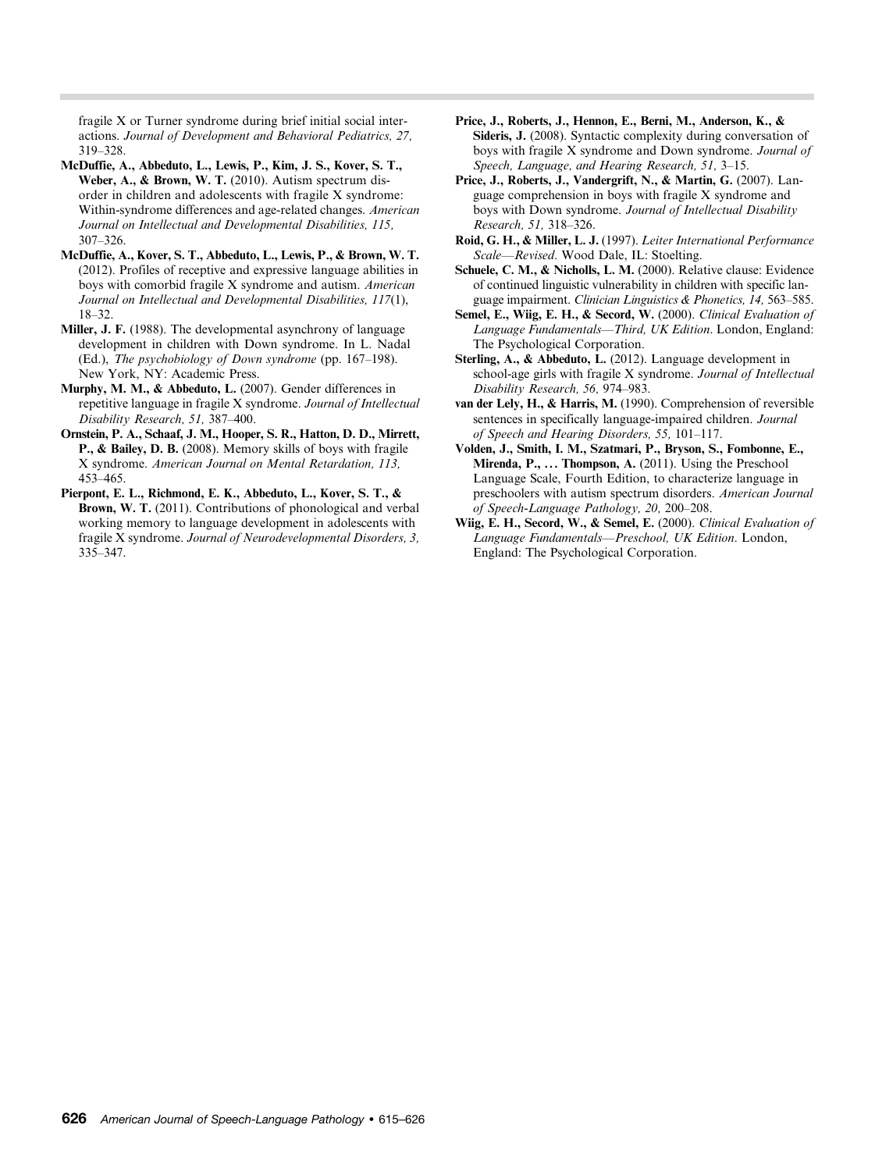fragile X or Turner syndrome during brief initial social interactions. Journal of Development and Behavioral Pediatrics, 27, 319–328.

- McDuffie, A., Abbeduto, L., Lewis, P., Kim, J. S., Kover, S. T., Weber, A., & Brown, W. T. (2010). Autism spectrum disorder in children and adolescents with fragile X syndrome: Within-syndrome differences and age-related changes. American Journal on Intellectual and Developmental Disabilities, 115, 307–326.
- McDuffie, A., Kover, S. T., Abbeduto, L., Lewis, P., & Brown, W. T. (2012). Profiles of receptive and expressive language abilities in boys with comorbid fragile X syndrome and autism. American Journal on Intellectual and Developmental Disabilities, 117(1), 18–32.
- Miller, J. F. (1988). The developmental asynchrony of language development in children with Down syndrome. In L. Nadal (Ed.), The psychobiology of Down syndrome (pp. 167–198). New York, NY: Academic Press.
- Murphy, M. M., & Abbeduto, L. (2007). Gender differences in repetitive language in fragile X syndrome. Journal of Intellectual Disability Research, 51, 387–400.
- Ornstein, P. A., Schaaf, J. M., Hooper, S. R., Hatton, D. D., Mirrett, P., & Bailey, D. B. (2008). Memory skills of boys with fragile X syndrome. American Journal on Mental Retardation, 113, 453–465.
- Pierpont, E. L., Richmond, E. K., Abbeduto, L., Kover, S. T., & Brown, W. T. (2011). Contributions of phonological and verbal working memory to language development in adolescents with fragile X syndrome. Journal of Neurodevelopmental Disorders, 3, 335–347.
- Price, J., Roberts, J., Hennon, E., Berni, M., Anderson, K., & Sideris, J. (2008). Syntactic complexity during conversation of boys with fragile X syndrome and Down syndrome. Journal of Speech, Language, and Hearing Research, 51, 3–15.
- Price, J., Roberts, J., Vandergrift, N., & Martin, G. (2007). Language comprehension in boys with fragile X syndrome and boys with Down syndrome. Journal of Intellectual Disability Research, 51, 318–326.
- Roid, G. H., & Miller, L. J. (1997). Leiter International Performance Scale—Revised. Wood Dale, IL: Stoelting.
- Schuele, C. M., & Nicholls, L. M. (2000). Relative clause: Evidence of continued linguistic vulnerability in children with specific language impairment. Clinician Linguistics & Phonetics, 14, 563–585.
- Semel, E., Wiig, E. H., & Secord, W. (2000). Clinical Evaluation of Language Fundamentals—Third, UK Edition. London, England: The Psychological Corporation.
- Sterling, A., & Abbeduto, L. (2012). Language development in school-age girls with fragile X syndrome. Journal of Intellectual Disability Research, 56, 974–983.
- van der Lely, H., & Harris, M. (1990). Comprehension of reversible sentences in specifically language-impaired children. Journal of Speech and Hearing Disorders, 55, 101–117.
- Volden, J., Smith, I. M., Szatmari, P., Bryson, S., Fombonne, E., Mirenda, P., ... Thompson, A. (2011). Using the Preschool Language Scale, Fourth Edition, to characterize language in preschoolers with autism spectrum disorders. American Journal of Speech-Language Pathology, 20, 200–208.
- Wiig, E. H., Secord, W., & Semel, E. (2000). Clinical Evaluation of Language Fundamentals—Preschool, UK Edition. London, England: The Psychological Corporation.